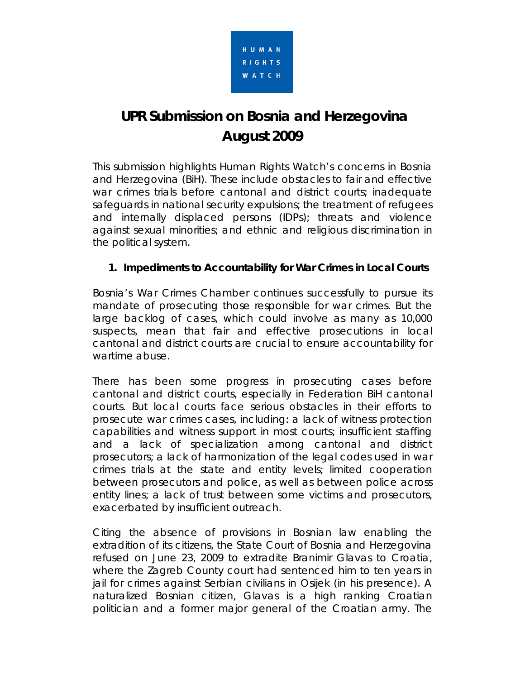

# **UPR Submission on Bosnia and Herzegovina August 2009**

This submission highlights Human Rights Watch's concerns in Bosnia and Herzegovina (BiH). These include obstacles to fair and effective war crimes trials before cantonal and district courts; inadequate safeguards in national security expulsions; the treatment of refugees and internally displaced persons (IDPs); threats and violence against sexual minorities; and ethnic and religious discrimination in the political system.

## **1. Impediments to Accountability for War Crimes in Local Courts**

Bosnia's War Crimes Chamber continues successfully to pursue its mandate of prosecuting those responsible for war crimes. But the large backlog of cases, which could involve as many as 10,000 suspects, mean that fair and effective prosecutions in local cantonal and district courts are crucial to ensure accountability for wartime abuse.

There has been some progress in prosecuting cases before cantonal and district courts, especially in Federation BiH cantonal courts. But local courts face serious obstacles in their efforts to prosecute war crimes cases, including: a lack of witness protection capabilities and witness support in most courts; insufficient staffing and a lack of specialization among cantonal and district prosecutors; a lack of harmonization of the legal codes used in war crimes trials at the state and entity levels; limited cooperation between prosecutors and police, as well as between police across entity lines; a lack of trust between some victims and prosecutors, exacerbated by insufficient outreach.

Citing the absence of provisions in Bosnian law enabling the extradition of its citizens, the State Court of Bosnia and Herzegovina refused on June 23, 2009 to extradite Branimir Glavas to Croatia, where the Zagreb County court had sentenced him to ten years in jail for crimes against Serbian civilians in Osijek (in his presence). A naturalized Bosnian citizen, Glavas is a high ranking Croatian politician and a former major general of the Croatian army. The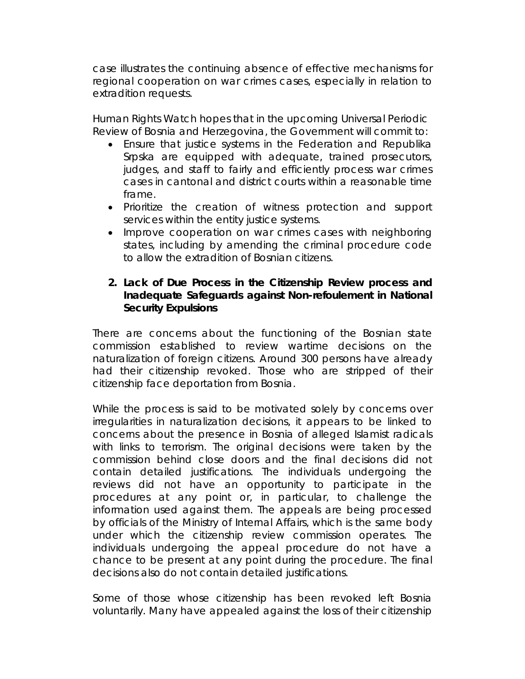case illustrates the continuing absence of effective mechanisms for regional cooperation on war crimes cases, especially in relation to extradition requests.

Human Rights Watch hopes that in the upcoming Universal Periodic Review of Bosnia and Herzegovina, the Government will commit to:

- Ensure that justice systems in the Federation and Republika Srpska are equipped with adequate, trained prosecutors, judges, and staff to fairly and efficiently process war crimes cases in cantonal and district courts within a reasonable time frame.
- Prioritize the creation of witness protection and support services within the entity justice systems.
- Improve cooperation on war crimes cases with neighboring states, including by amending the criminal procedure code to allow the extradition of Bosnian citizens.

## **2. Lack of Due Process in the Citizenship Review process and Inadequate Safeguards against** *Non-refoulement* **in National Security Expulsions**

There are concerns about the functioning of the Bosnian state commission established to review wartime decisions on the naturalization of foreign citizens. Around 300 persons have already had their citizenship revoked. Those who are stripped of their citizenship face deportation from Bosnia.

While the process is said to be motivated solely by concerns over irregularities in naturalization decisions, it appears to be linked to concerns about the presence in Bosnia of alleged Islamist radicals with links to terrorism. The original decisions were taken by the commission behind close doors and the final decisions did not contain detailed justifications. The individuals undergoing the reviews did not have an opportunity to participate in the procedures at any point or, in particular, to challenge the information used against them. The appeals are being processed by officials of the Ministry of Internal Affairs, which is the same body under which the citizenship review commission operates. The individuals undergoing the appeal procedure do not have a chance to be present at any point during the procedure. The final decisions also do not contain detailed justifications.

Some of those whose citizenship has been revoked left Bosnia voluntarily. Many have appealed against the loss of their citizenship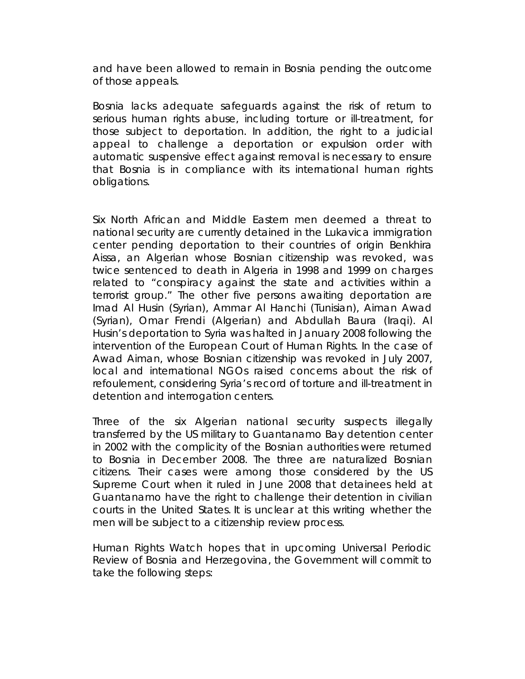and have been allowed to remain in Bosnia pending the outcome of those appeals.

Bosnia lacks adequate safeguards against the risk of return to serious human rights abuse, including torture or ill-treatment, for those subject to deportation. In addition, the right to a judicial appeal to challenge a deportation or expulsion order with automatic suspensive effect against removal is necessary to ensure that Bosnia is in compliance with its international human rights obligations.

Six North African and Middle Eastern men deemed a threat to national security are currently detained in the Lukavica immigration center pending deportation to their countries of origin Benkhira Aissa, an Algerian whose Bosnian citizenship was revoked, was twice sentenced to death in Algeria in 1998 and 1999 on charges related to "conspiracy against the state and activities within a terrorist group." The other five persons awaiting deportation are Imad Al Husin (Syrian), Ammar Al Hanchi (Tunisian), Aiman Awad (Syrian), Omar Frendi (Algerian) and Abdullah Baura (Iraqi). Al Husin's deportation to Syria was halted in January 2008 following the intervention of the European Court of Human Rights. In the case of Awad Aiman, whose Bosnian citizenship was revoked in July 2007, local and international NGOs raised concerns about the risk of *refoulement*, considering Syria's record of torture and ill-treatment in detention and interrogation centers.

Three of the six Algerian national security suspects illegally transferred by the US military to Guantanamo Bay detention center in 2002 with the complicity of the Bosnian authorities were returned to Bosnia in December 2008. The three are naturalized Bosnian citizens. Their cases were among those considered by the US Supreme Court when it ruled in June 2008 that detainees held at Guantanamo have the right to challenge their detention in civilian courts in the United States. It is unclear at this writing whether the men will be subject to a citizenship review process.

Human Rights Watch hopes that in upcoming Universal Periodic Review of Bosnia and Herzegovina, the Government will commit to take the following steps: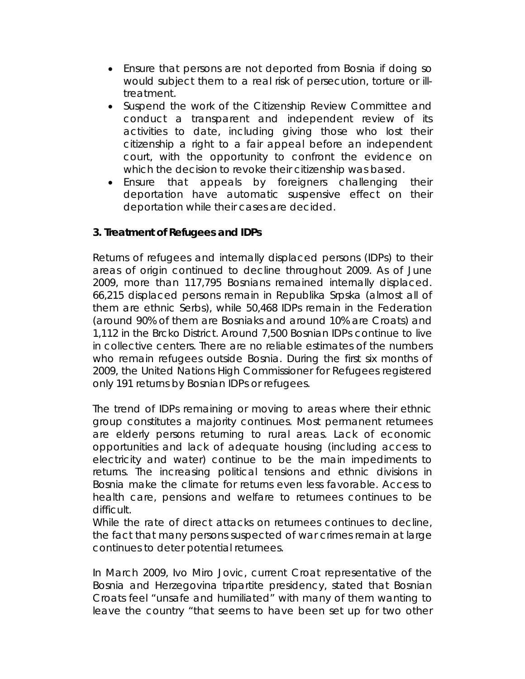- Ensure that persons are not deported from Bosnia if doing so would subject them to a real risk of persecution, torture or illtreatment.
- Suspend the work of the Citizenship Review Committee and conduct a transparent and independent review of its activities to date, including giving those who lost their citizenship a right to a fair appeal before an independent court, with the opportunity to confront the evidence on which the decision to revoke their citizenship was based.
- Ensure that appeals by foreigners challenging their deportation have automatic suspensive effect on their deportation while their cases are decided.

## **3. Treatment of Refugees and IDPs**

Returns of refugees and internally displaced persons (IDPs) to their areas of origin continued to decline throughout 2009. As of June 2009, more than 117,795 Bosnians remained internally displaced. 66,215 displaced persons remain in Republika Srpska (almost all of them are ethnic Serbs), while 50,468 IDPs remain in the Federation (around 90% of them are Bosniaks and around 10% are Croats) and 1,112 in the Brcko District. Around 7,500 Bosnian IDPs continue to live in collective centers. There are no reliable estimates of the numbers who remain refugees outside Bosnia. During the first six months of 2009, the United Nations High Commissioner for Refugees registered only 191 returns by Bosnian IDPs or refugees.

The trend of IDPs remaining or moving to areas where their ethnic group constitutes a majority continues. Most permanent returnees are elderly persons returning to rural areas. Lack of economic opportunities and lack of adequate housing (including access to electricity and water) continue to be the main impediments to returns. The increasing political tensions and ethnic divisions in Bosnia make the climate for returns even less favorable. Access to health care, pensions and welfare to returnees continues to be difficult.

While the rate of direct attacks on returnees continues to decline, the fact that many persons suspected of war crimes remain at large continues to deter potential returnees.

In March 2009, Ivo Miro Jovic, current Croat representative of the Bosnia and Herzegovina tripartite presidency, stated that Bosnian Croats feel "unsafe and humiliated" with many of them wanting to leave the country "that seems to have been set up for two other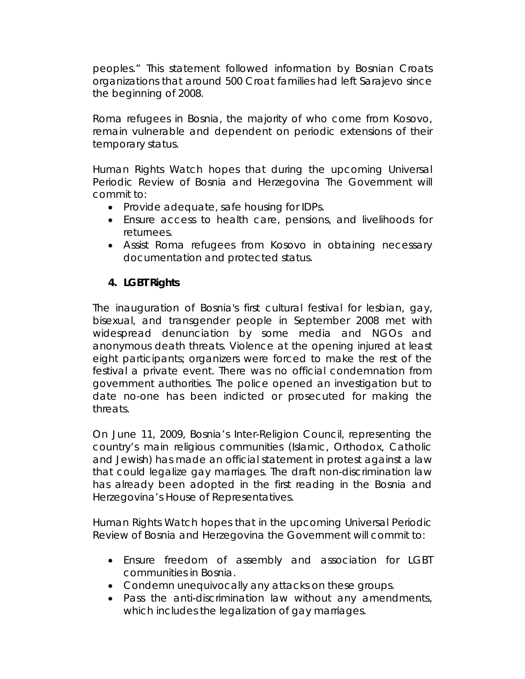peoples." This statement followed information by Bosnian Croats organizations that around 500 Croat families had left Sarajevo since the beginning of 2008.

Roma refugees in Bosnia, the majority of who come from Kosovo, remain vulnerable and dependent on periodic extensions of their temporary status.

Human Rights Watch hopes that during the upcoming Universal Periodic Review of Bosnia and Herzegovina The Government will commit to:

- Provide adequate, safe housing for IDPs.
- Ensure access to health care, pensions, and livelihoods for returnees.
- Assist Roma refugees from Kosovo in obtaining necessary documentation and protected status.

# **4. LGBT Rights**

The inauguration of Bosnia's first cultural festival for lesbian, gay, bisexual, and transgender people in September 2008 met with widespread denunciation by some media and NGOs and anonymous death threats. Violence at the opening injured at least eight participants; organizers were forced to make the rest of the festival a private event. There was no official condemnation from government authorities. The police opened an investigation but to date no-one has been indicted or prosecuted for making the threats.

On June 11, 2009, Bosnia's Inter-Religion Council, representing the country's main religious communities (Islamic, Orthodox, Catholic and Jewish) has made an official statement in protest against a law that could legalize gay marriages. The draft non-discrimination law has already been adopted in the first reading in the Bosnia and Herzegovina's House of Representatives.

Human Rights Watch hopes that in the upcoming Universal Periodic Review of Bosnia and Herzegovina the Government will commit to:

- Ensure freedom of assembly and association for LGBT communities in Bosnia.
- Condemn unequivocally any attacks on these groups.
- Pass the anti-discrimination law without any amendments, which includes the legalization of gay marriages.